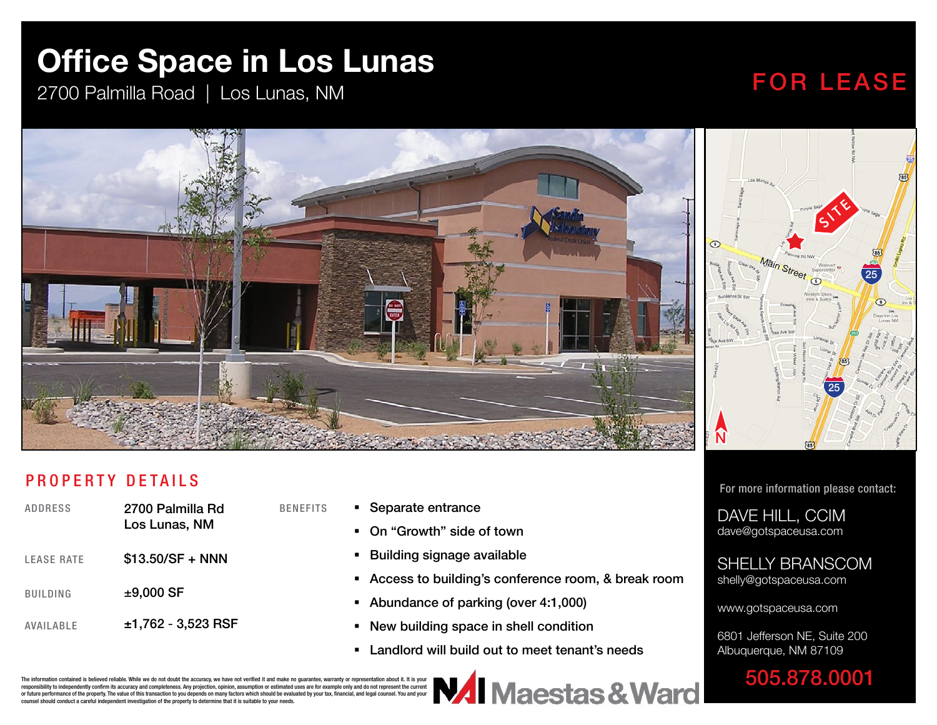## **Office Space in Los Lunas**

2700 Palmilla Road | Los Lunas, NM

### FOR LEASE

SITE

25

25



#### PROPERTY DETAILS

| ADDRESS           | 2700 Palmilla Rd<br>Los Lunas, NM |
|-------------------|-----------------------------------|
| <b>LEASE RATE</b> | \$13.50/SF + NNN                  |
| <b>BUILDING</b>   | $±9,000$ SF                       |
| AVAII ARI F       | $±1,762 - 3,523$ RSF              |

- BENEFITS **Separate entrance** 
	- On "Growth" side of town
	- **Building signage available**
	- Access to building's conference room, & break room
	- Abundance of parking (over 4:1,000)
	- New building space in shell condition
	- Landlord will build out to meet tenant's needs

For more information please contact:

DAVE HILL, CCIM dave@gotspaceusa.com

#### SHELLY BRANSCOM shelly@gotspaceusa.com

www.gotspaceusa.com

6801 Jefferson NE, Suite 200 Albuquerque, NM 87109

505.878.0001 **VAI** Maestas & Ward

The information contained is believed reliable. While we do not doubt the accuracy, we have not verified it and make no guarantee, warranty or representation about it. It is your responsibility to independently confirm its accuracy and completeness. Any projection, opinion, assumption or estimated uses are for example only and do not represent the current or future performance of the property. The value of this transaction to you depends on many factors which should be evaluated by your tax, financial, and legal counsel. You and your counsel should conduct a careful independent investigation of the property to determine that it is suitable to your needs.